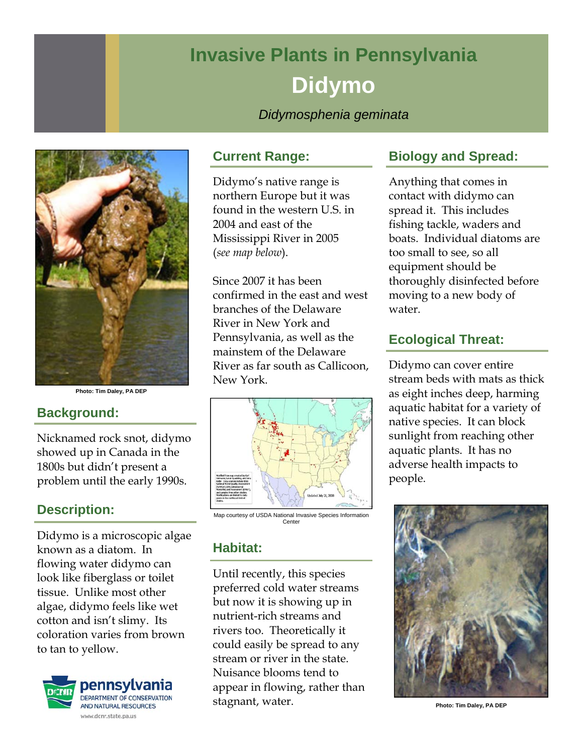# **Invasive Plants in Pennsylvania Didymo**

*Didymosphenia geminata* 



**Photo: Tim Daley, PA DEP** 

# **Background:**

Nicknamed rock snot, didymo showed up in Canada in the 1800s but didn't present a problem until the early 1990s.

## **Description:**

Didymo is a microscopic algae known as a diatom. In flowing water didymo can look like fiberglass or toilet tissue. Unlike most other algae, didymo feels like wet cotton and isn't slimy. Its coloration varies from brown to tan to yellow.



## **Current Range:**

Didymo's native range is northern Europe but it was found in the western U.S. in 2004 and east of the Mississippi River in 2005 (*see map below*).

Since 2007 it has been confirmed in the east and west branches of the Delaware River in New York and Pennsylvania, as well as the mainstem of the Delaware River as far south as Callicoon, New York.



Center

## **Habitat:**

Until recently, this species preferred cold water streams but now it is showing up in nutrient-rich streams and rivers too. Theoretically it could easily be spread to any stream or river in the state. Nuisance blooms tend to appear in flowing, rather than stagnant, water.

## **Biology and Spread:**

Anything that comes in contact with didymo can spread it. This includes fishing tackle, waders and boats. Individual diatoms are too small to see, so all equipment should be thoroughly disinfected before moving to a new body of water.

### **Ecological Threat:**

Didymo can cover entire stream beds with mats as thick as eight inches deep, harming aquatic habitat for a variety of native species. It can block sunlight from reaching other aquatic plants. It has no adverse health impacts to people.



**Photo: Tim Daley, PA DEP**